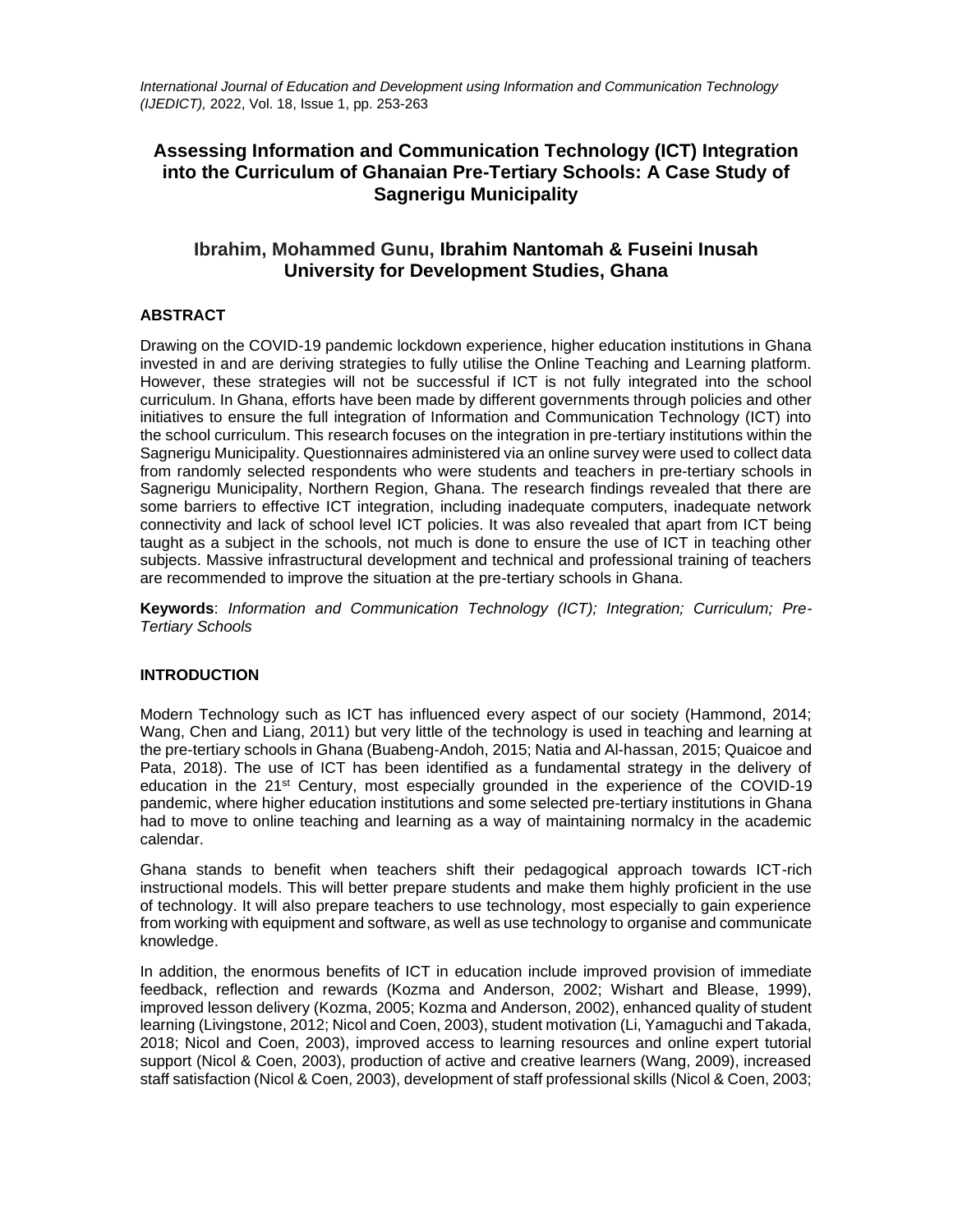*International Journal of Education and Development using Information and Communication Technology (IJEDICT),* 2022, Vol. 18, Issue 1, pp. 253-263

# **Assessing Information and Communication Technology (ICT) Integration into the Curriculum of Ghanaian Pre-Tertiary Schools: A Case Study of Sagnerigu Municipality**

# **Ibrahim, Mohammed Gunu, Ibrahim Nantomah & Fuseini Inusah University for Development Studies, Ghana**

# **ABSTRACT**

Drawing on the COVID-19 pandemic lockdown experience, higher education institutions in Ghana invested in and are deriving strategies to fully utilise the Online Teaching and Learning platform. However, these strategies will not be successful if ICT is not fully integrated into the school curriculum. In Ghana, efforts have been made by different governments through policies and other initiatives to ensure the full integration of Information and Communication Technology (ICT) into the school curriculum. This research focuses on the integration in pre-tertiary institutions within the Sagnerigu Municipality. Questionnaires administered via an online survey were used to collect data from randomly selected respondents who were students and teachers in pre-tertiary schools in Sagnerigu Municipality, Northern Region, Ghana. The research findings revealed that there are some barriers to effective ICT integration, including inadequate computers, inadequate network connectivity and lack of school level ICT policies. It was also revealed that apart from ICT being taught as a subject in the schools, not much is done to ensure the use of ICT in teaching other subjects. Massive infrastructural development and technical and professional training of teachers are recommended to improve the situation at the pre-tertiary schools in Ghana.

**Keywords**: *Information and Communication Technology (ICT); Integration; Curriculum; Pre-Tertiary Schools*

### **INTRODUCTION**

Modern Technology such as ICT has influenced every aspect of our society (Hammond, 2014; Wang, Chen and Liang, 2011) but very little of the technology is used in teaching and learning at the pre-tertiary schools in Ghana (Buabeng-Andoh, 2015; Natia and Al-hassan, 2015; Quaicoe and Pata, 2018). The use of ICT has been identified as a fundamental strategy in the delivery of education in the 21<sup>st</sup> Century, most especially grounded in the experience of the COVID-19 pandemic, where higher education institutions and some selected pre-tertiary institutions in Ghana had to move to online teaching and learning as a way of maintaining normalcy in the academic calendar.

Ghana stands to benefit when teachers shift their pedagogical approach towards ICT-rich instructional models. This will better prepare students and make them highly proficient in the use of technology. It will also prepare teachers to use technology, most especially to gain experience from working with equipment and software, as well as use technology to organise and communicate knowledge.

In addition, the enormous benefits of ICT in education include improved provision of immediate feedback, reflection and rewards (Kozma and Anderson, 2002; Wishart and Blease, 1999), improved lesson delivery (Kozma, 2005; Kozma and Anderson, 2002), enhanced quality of student learning (Livingstone, 2012; Nicol and Coen, 2003), student motivation (Li, Yamaguchi and Takada, 2018; Nicol and Coen, 2003), improved access to learning resources and online expert tutorial support (Nicol & Coen, 2003), production of active and creative learners (Wang, 2009), increased staff satisfaction (Nicol & Coen, 2003), development of staff professional skills (Nicol & Coen, 2003;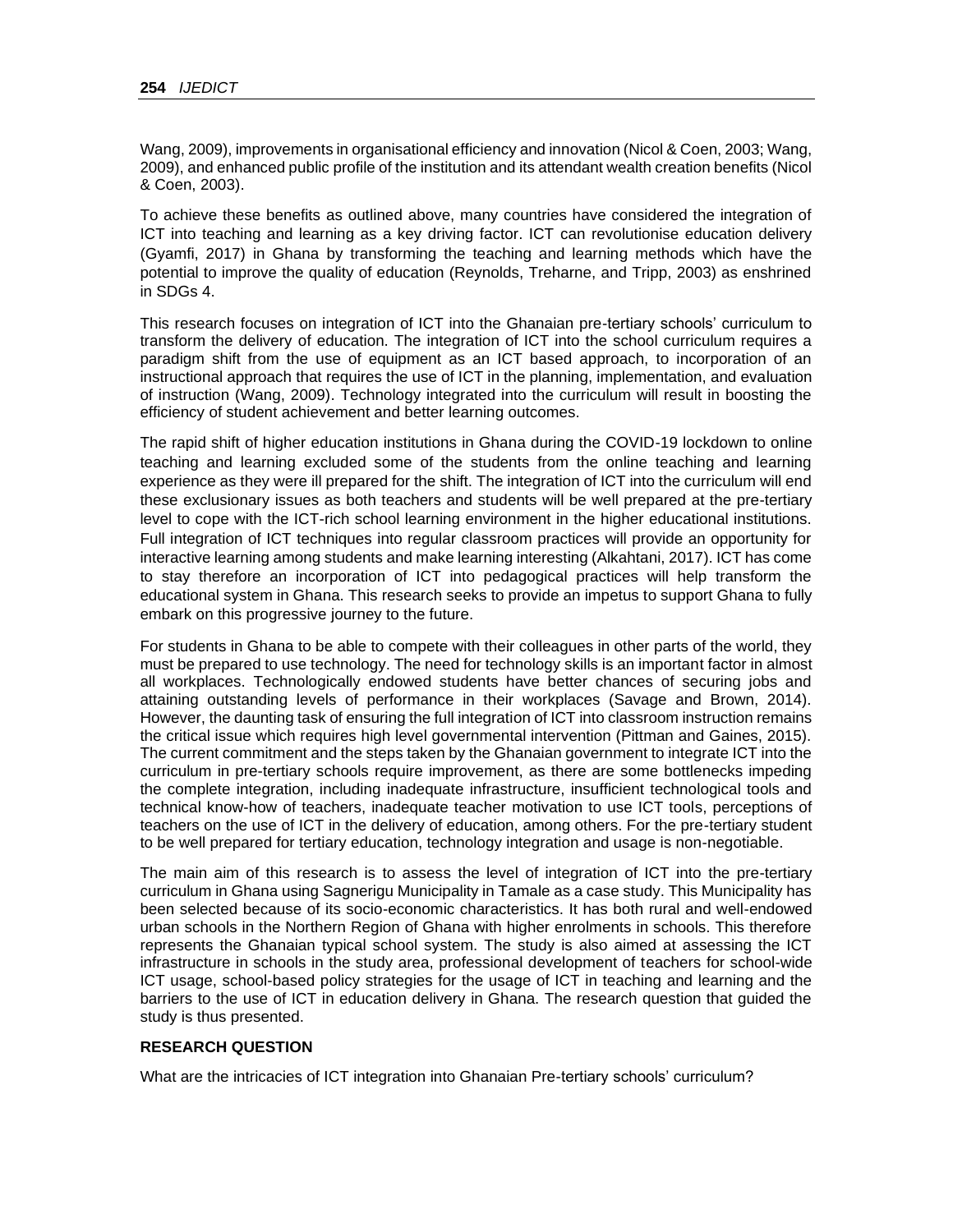Wang, 2009), improvements in organisational efficiency and innovation (Nicol & Coen, 2003; Wang, 2009), and enhanced public profile of the institution and its attendant wealth creation benefits (Nicol & Coen, 2003).

To achieve these benefits as outlined above, many countries have considered the integration of ICT into teaching and learning as a key driving factor. ICT can revolutionise education delivery (Gyamfi, 2017) in Ghana by transforming the teaching and learning methods which have the potential to improve the quality of education (Reynolds, Treharne, and Tripp, 2003) as enshrined in SDGs 4.

This research focuses on integration of ICT into the Ghanaian pre-tertiary schools' curriculum to transform the delivery of education. The integration of ICT into the school curriculum requires a paradigm shift from the use of equipment as an ICT based approach, to incorporation of an instructional approach that requires the use of ICT in the planning, implementation, and evaluation of instruction (Wang, 2009). Technology integrated into the curriculum will result in boosting the efficiency of student achievement and better learning outcomes.

The rapid shift of higher education institutions in Ghana during the COVID-19 lockdown to online teaching and learning excluded some of the students from the online teaching and learning experience as they were ill prepared for the shift. The integration of ICT into the curriculum will end these exclusionary issues as both teachers and students will be well prepared at the pre-tertiary level to cope with the ICT-rich school learning environment in the higher educational institutions. Full integration of ICT techniques into regular classroom practices will provide an opportunity for interactive learning among students and make learning interesting (Alkahtani, 2017). ICT has come to stay therefore an incorporation of ICT into pedagogical practices will help transform the educational system in Ghana. This research seeks to provide an impetus to support Ghana to fully embark on this progressive journey to the future.

For students in Ghana to be able to compete with their colleagues in other parts of the world, they must be prepared to use technology. The need for technology skills is an important factor in almost all workplaces. Technologically endowed students have better chances of securing jobs and attaining outstanding levels of performance in their workplaces (Savage and Brown, 2014). However, the daunting task of ensuring the full integration of ICT into classroom instruction remains the critical issue which requires high level governmental intervention (Pittman and Gaines, 2015). The current commitment and the steps taken by the Ghanaian government to integrate ICT into the curriculum in pre-tertiary schools require improvement, as there are some bottlenecks impeding the complete integration, including inadequate infrastructure, insufficient technological tools and technical know-how of teachers, inadequate teacher motivation to use ICT tools, perceptions of teachers on the use of ICT in the delivery of education, among others. For the pre-tertiary student to be well prepared for tertiary education, technology integration and usage is non-negotiable.

The main aim of this research is to assess the level of integration of ICT into the pre-tertiary curriculum in Ghana using Sagnerigu Municipality in Tamale as a case study. This Municipality has been selected because of its socio-economic characteristics. It has both rural and well-endowed urban schools in the Northern Region of Ghana with higher enrolments in schools. This therefore represents the Ghanaian typical school system. The study is also aimed at assessing the ICT infrastructure in schools in the study area, professional development of teachers for school-wide ICT usage, school-based policy strategies for the usage of ICT in teaching and learning and the barriers to the use of ICT in education delivery in Ghana. The research question that guided the study is thus presented.

### **RESEARCH QUESTION**

What are the intricacies of ICT integration into Ghanaian Pre-tertiary schools' curriculum?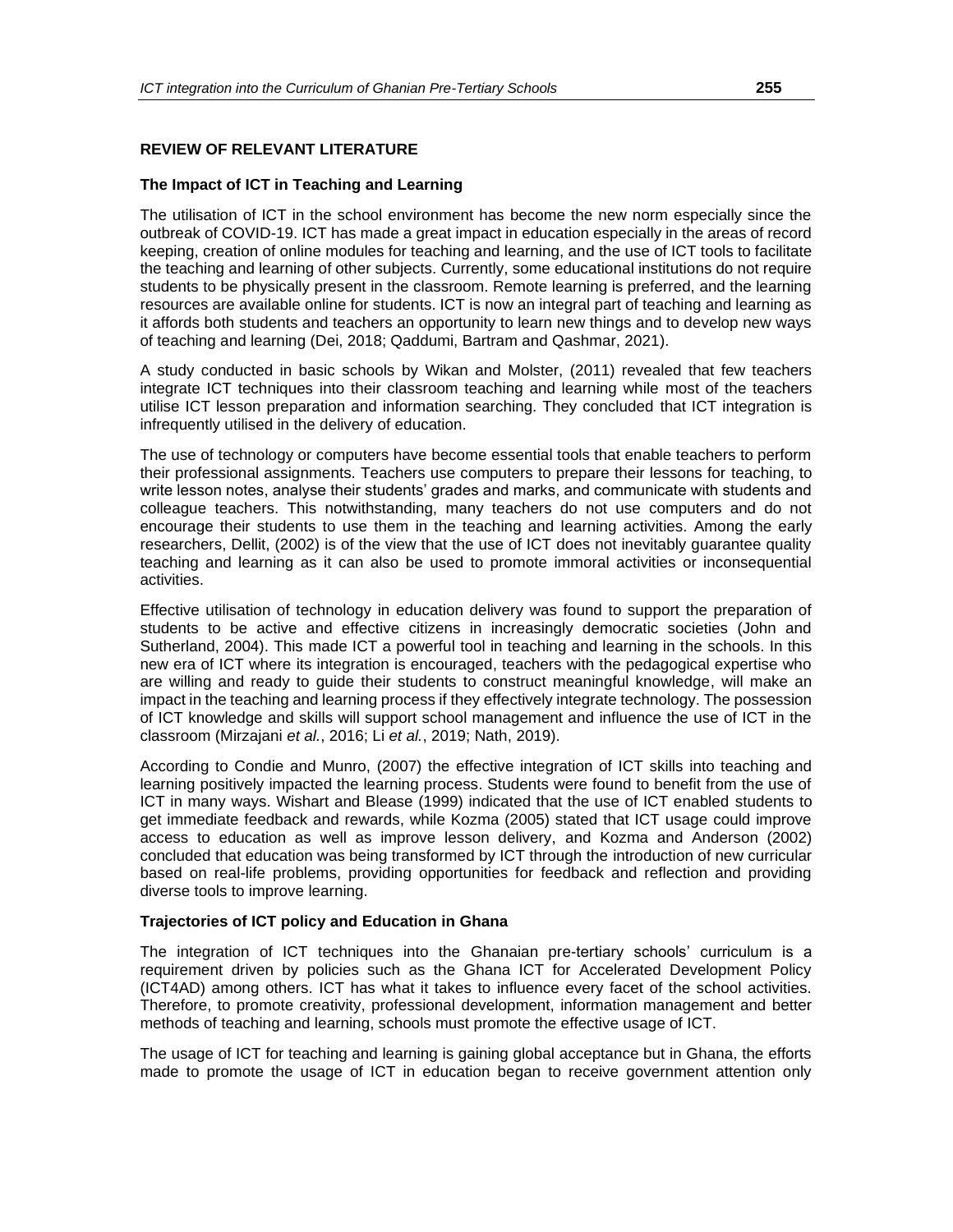### **REVIEW OF RELEVANT LITERATURE**

### **The Impact of ICT in Teaching and Learning**

The utilisation of ICT in the school environment has become the new norm especially since the outbreak of COVID-19. ICT has made a great impact in education especially in the areas of record keeping, creation of online modules for teaching and learning, and the use of ICT tools to facilitate the teaching and learning of other subjects. Currently, some educational institutions do not require students to be physically present in the classroom. Remote learning is preferred, and the learning resources are available online for students. ICT is now an integral part of teaching and learning as it affords both students and teachers an opportunity to learn new things and to develop new ways of teaching and learning (Dei, 2018; Qaddumi, Bartram and Qashmar, 2021).

A study conducted in basic schools by Wikan and Molster, (2011) revealed that few teachers integrate ICT techniques into their classroom teaching and learning while most of the teachers utilise ICT lesson preparation and information searching. They concluded that ICT integration is infrequently utilised in the delivery of education.

The use of technology or computers have become essential tools that enable teachers to perform their professional assignments. Teachers use computers to prepare their lessons for teaching, to write lesson notes, analyse their students' grades and marks, and communicate with students and colleague teachers. This notwithstanding, many teachers do not use computers and do not encourage their students to use them in the teaching and learning activities. Among the early researchers, Dellit, (2002) is of the view that the use of ICT does not inevitably guarantee quality teaching and learning as it can also be used to promote immoral activities or inconsequential activities.

Effective utilisation of technology in education delivery was found to support the preparation of students to be active and effective citizens in increasingly democratic societies (John and Sutherland, 2004). This made ICT a powerful tool in teaching and learning in the schools. In this new era of ICT where its integration is encouraged, teachers with the pedagogical expertise who are willing and ready to guide their students to construct meaningful knowledge, will make an impact in the teaching and learning process if they effectively integrate technology. The possession of ICT knowledge and skills will support school management and influence the use of ICT in the classroom (Mirzajani *et al.*, 2016; Li *et al.*, 2019; Nath, 2019).

According to Condie and Munro, (2007) the effective integration of ICT skills into teaching and learning positively impacted the learning process. Students were found to benefit from the use of ICT in many ways. Wishart and Blease (1999) indicated that the use of ICT enabled students to get immediate feedback and rewards, while Kozma (2005) stated that ICT usage could improve access to education as well as improve lesson delivery, and Kozma and Anderson (2002) concluded that education was being transformed by ICT through the introduction of new curricular based on real-life problems, providing opportunities for feedback and reflection and providing diverse tools to improve learning.

### **Trajectories of ICT policy and Education in Ghana**

The integration of ICT techniques into the Ghanaian pre-tertiary schools' curriculum is a requirement driven by policies such as the Ghana ICT for Accelerated Development Policy (ICT4AD) among others. ICT has what it takes to influence every facet of the school activities. Therefore, to promote creativity, professional development, information management and better methods of teaching and learning, schools must promote the effective usage of ICT.

The usage of ICT for teaching and learning is gaining global acceptance but in Ghana, the efforts made to promote the usage of ICT in education began to receive government attention only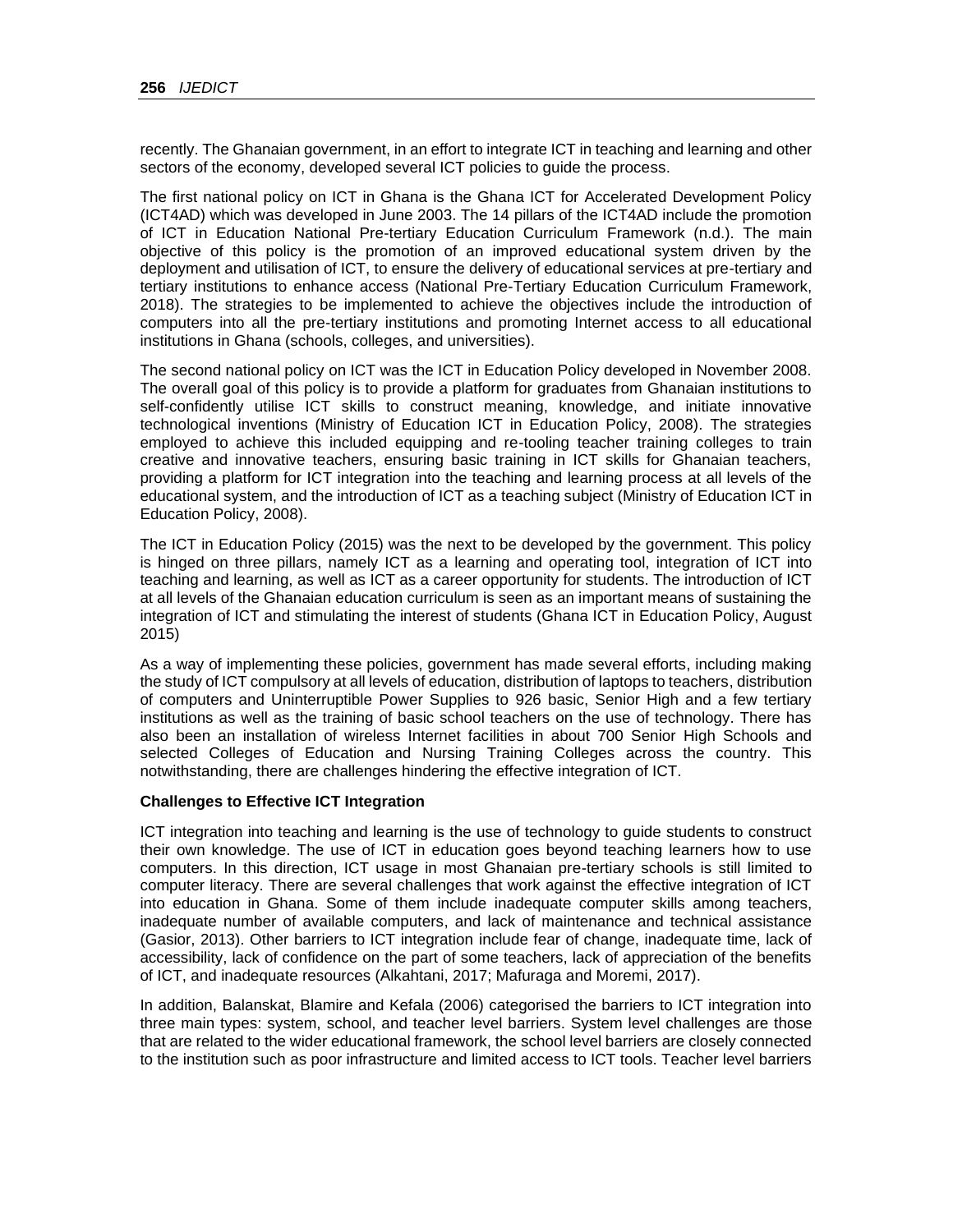recently. The Ghanaian government, in an effort to integrate ICT in teaching and learning and other sectors of the economy, developed several ICT policies to guide the process.

The first national policy on ICT in Ghana is the Ghana ICT for Accelerated Development Policy (ICT4AD) which was developed in June 2003. The 14 pillars of the ICT4AD include the promotion of ICT in Education National Pre-tertiary Education Curriculum Framework (n.d.). The main objective of this policy is the promotion of an improved educational system driven by the deployment and utilisation of ICT, to ensure the delivery of educational services at pre-tertiary and tertiary institutions to enhance access (National Pre-Tertiary Education Curriculum Framework, 2018). The strategies to be implemented to achieve the objectives include the introduction of computers into all the pre-tertiary institutions and promoting Internet access to all educational institutions in Ghana (schools, colleges, and universities).

The second national policy on ICT was the ICT in Education Policy developed in November 2008. The overall goal of this policy is to provide a platform for graduates from Ghanaian institutions to self-confidently utilise ICT skills to construct meaning, knowledge, and initiate innovative technological inventions (Ministry of Education ICT in Education Policy, 2008). The strategies employed to achieve this included equipping and re-tooling teacher training colleges to train creative and innovative teachers, ensuring basic training in ICT skills for Ghanaian teachers, providing a platform for ICT integration into the teaching and learning process at all levels of the educational system, and the introduction of ICT as a teaching subject (Ministry of Education ICT in Education Policy, 2008).

The ICT in Education Policy (2015) was the next to be developed by the government. This policy is hinged on three pillars, namely ICT as a learning and operating tool, integration of ICT into teaching and learning, as well as ICT as a career opportunity for students. The introduction of ICT at all levels of the Ghanaian education curriculum is seen as an important means of sustaining the integration of ICT and stimulating the interest of students (Ghana ICT in Education Policy, August 2015)

As a way of implementing these policies, government has made several efforts, including making the study of ICT compulsory at all levels of education, distribution of laptops to teachers, distribution of computers and Uninterruptible Power Supplies to 926 basic, Senior High and a few tertiary institutions as well as the training of basic school teachers on the use of technology. There has also been an installation of wireless Internet facilities in about 700 Senior High Schools and selected Colleges of Education and Nursing Training Colleges across the country. This notwithstanding, there are challenges hindering the effective integration of ICT.

### **Challenges to Effective ICT Integration**

ICT integration into teaching and learning is the use of technology to guide students to construct their own knowledge. The use of ICT in education goes beyond teaching learners how to use computers. In this direction, ICT usage in most Ghanaian pre-tertiary schools is still limited to computer literacy. There are several challenges that work against the effective integration of ICT into education in Ghana. Some of them include inadequate computer skills among teachers, inadequate number of available computers, and lack of maintenance and technical assistance (Gasior, 2013). Other barriers to ICT integration include fear of change, inadequate time, lack of accessibility, lack of confidence on the part of some teachers, lack of appreciation of the benefits of ICT, and inadequate resources (Alkahtani, 2017; Mafuraga and Moremi, 2017).

In addition, Balanskat, Blamire and Kefala (2006) categorised the barriers to ICT integration into three main types: system, school, and teacher level barriers. System level challenges are those that are related to the wider educational framework, the school level barriers are closely connected to the institution such as poor infrastructure and limited access to ICT tools. Teacher level barriers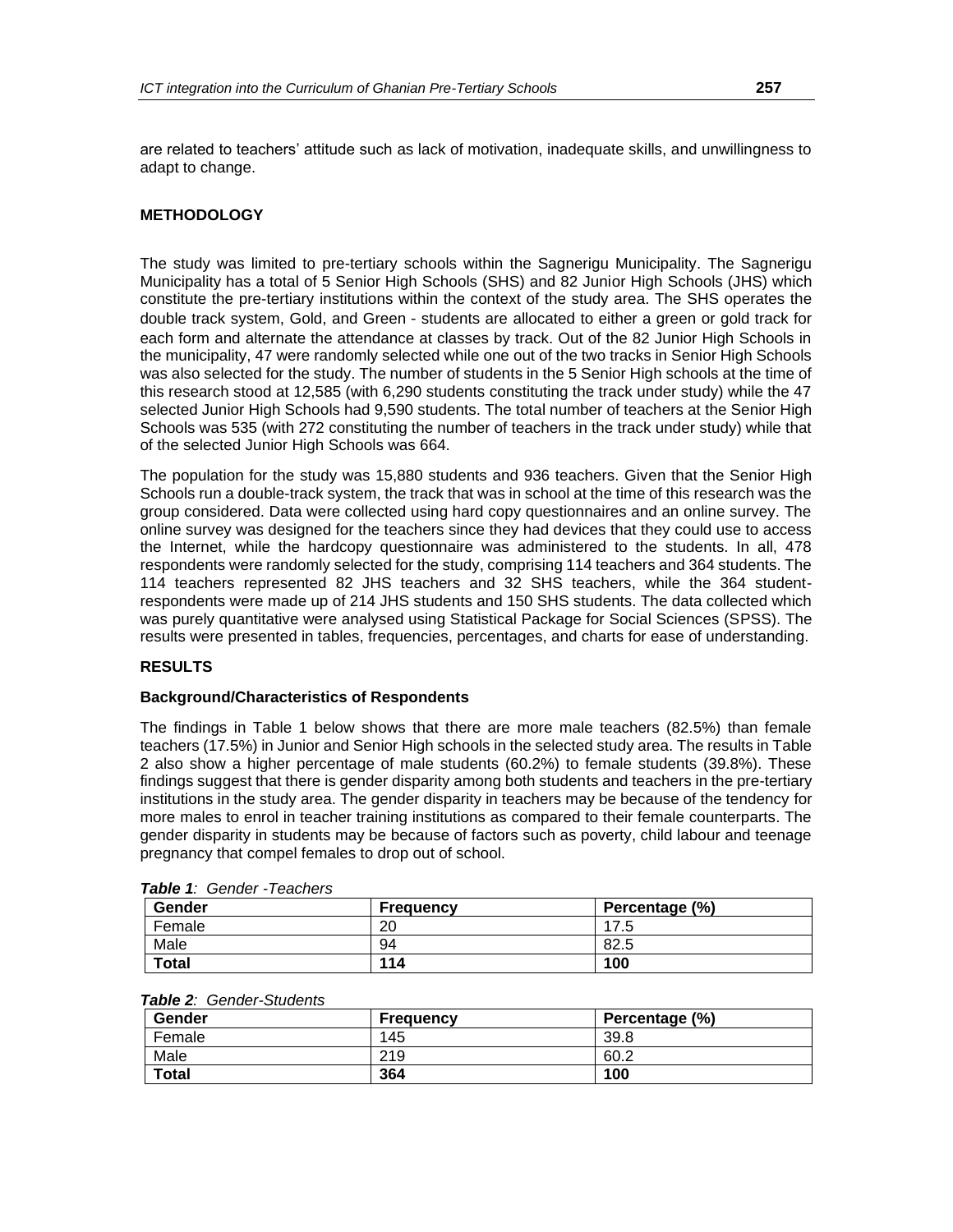are related to teachers' attitude such as lack of motivation, inadequate skills, and unwillingness to adapt to change.

### **METHODOLOGY**

The study was limited to pre-tertiary schools within the Sagnerigu Municipality. The Sagnerigu Municipality has a total of 5 Senior High Schools (SHS) and 82 Junior High Schools (JHS) which constitute the pre-tertiary institutions within the context of the study area. The SHS operates the double track system, Gold, and Green - students are allocated to either a green or gold track for each form and alternate the attendance at classes by track. Out of the 82 Junior High Schools in the municipality, 47 were randomly selected while one out of the two tracks in Senior High Schools was also selected for the study. The number of students in the 5 Senior High schools at the time of this research stood at 12,585 (with 6,290 students constituting the track under study) while the 47 selected Junior High Schools had 9,590 students. The total number of teachers at the Senior High Schools was 535 (with 272 constituting the number of teachers in the track under study) while that of the selected Junior High Schools was 664.

The population for the study was 15,880 students and 936 teachers. Given that the Senior High Schools run a double-track system, the track that was in school at the time of this research was the group considered. Data were collected using hard copy questionnaires and an online survey. The online survey was designed for the teachers since they had devices that they could use to access the Internet, while the hardcopy questionnaire was administered to the students. In all, 478 respondents were randomly selected for the study, comprising 114 teachers and 364 students. The 114 teachers represented 82 JHS teachers and 32 SHS teachers, while the 364 studentrespondents were made up of 214 JHS students and 150 SHS students. The data collected which was purely quantitative were analysed using Statistical Package for Social Sciences (SPSS). The results were presented in tables, frequencies, percentages, and charts for ease of understanding.

### **RESULTS**

### **Background/Characteristics of Respondents**

The findings in Table 1 below shows that there are more male teachers (82.5%) than female teachers (17.5%) in Junior and Senior High schools in the selected study area. The results in Table 2 also show a higher percentage of male students (60.2%) to female students (39.8%). These findings suggest that there is gender disparity among both students and teachers in the pre-tertiary institutions in the study area. The gender disparity in teachers may be because of the tendency for more males to enrol in teacher training institutions as compared to their female counterparts. The gender disparity in students may be because of factors such as poverty, child labour and teenage pregnancy that compel females to drop out of school.

| <b>IQUIC I.</b> OCINCI - ICQUICIS |                  |                |  |
|-----------------------------------|------------------|----------------|--|
| Gender                            | <b>Frequency</b> | Percentage (%) |  |
| Female                            | 20               | 17.5           |  |
| Male                              | 94               | 82.5           |  |
| <b>Total</b>                      | 114              | 100            |  |

|  |  |  |  | Table 1: Gender - Teachers |
|--|--|--|--|----------------------------|
|--|--|--|--|----------------------------|

| $i$ avic $\boldsymbol{z}$ . Octive - Students |                  |                |
|-----------------------------------------------|------------------|----------------|
| Gender                                        | <b>Frequency</b> | Percentage (%) |
| Female                                        | 145              | 39.8           |
| Male                                          | 219              | 60.2           |
| <b>Total</b>                                  | 364              | 100            |

# *Table 2: Gender-Students*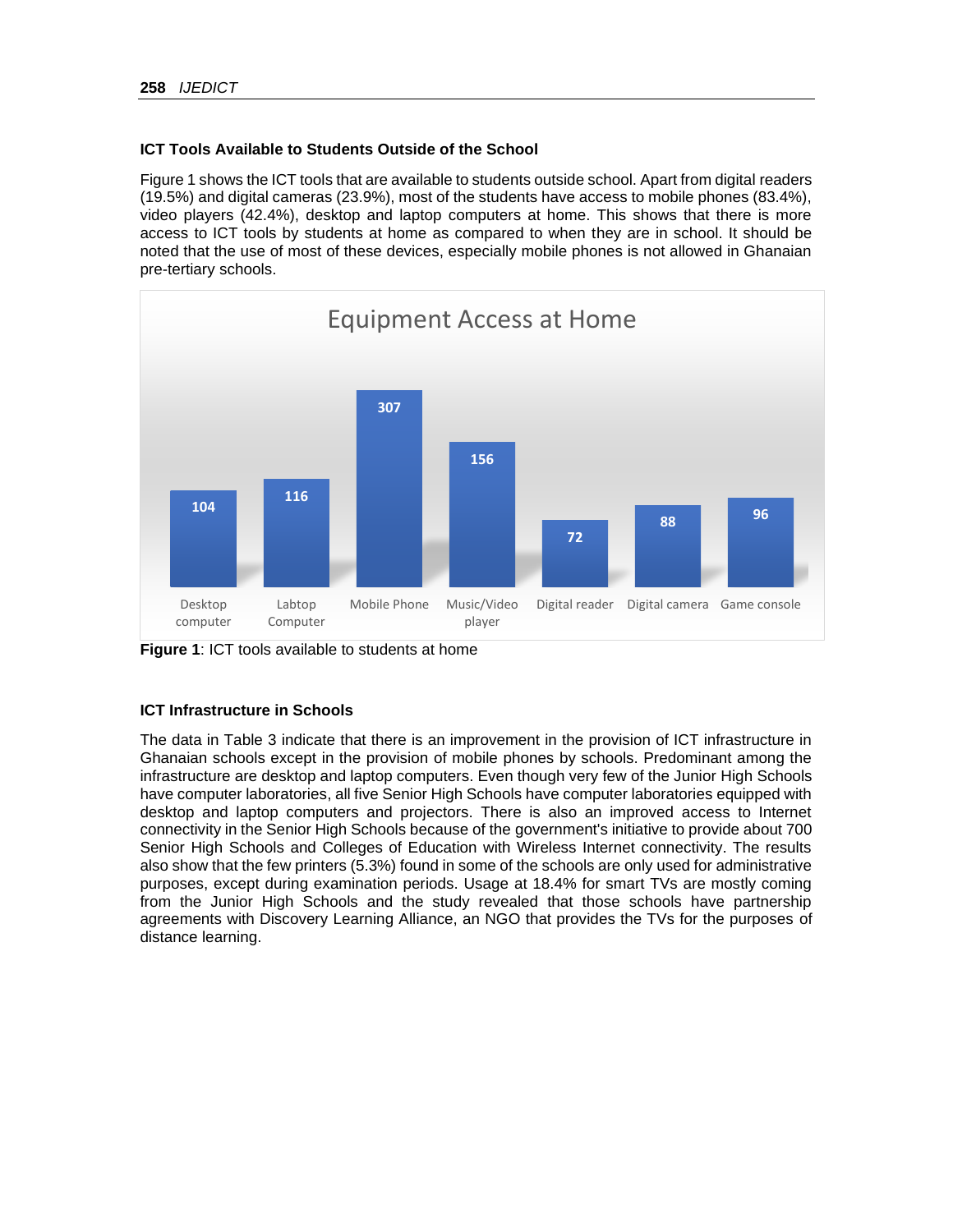# **ICT Tools Available to Students Outside of the School**

Figure 1 shows the ICT tools that are available to students outside school. Apart from digital readers (19.5%) and digital cameras (23.9%), most of the students have access to mobile phones (83.4%), video players (42.4%), desktop and laptop computers at home. This shows that there is more access to ICT tools by students at home as compared to when they are in school. It should be noted that the use of most of these devices, especially mobile phones is not allowed in Ghanaian pre-tertiary schools.



**Figure 1**: ICT tools available to students at home

# **ICT Infrastructure in Schools**

The data in Table 3 indicate that there is an improvement in the provision of ICT infrastructure in Ghanaian schools except in the provision of mobile phones by schools. Predominant among the infrastructure are desktop and laptop computers. Even though very few of the Junior High Schools have computer laboratories, all five Senior High Schools have computer laboratories equipped with desktop and laptop computers and projectors. There is also an improved access to Internet connectivity in the Senior High Schools because of the government's initiative to provide about 700 Senior High Schools and Colleges of Education with Wireless Internet connectivity. The results also show that the few printers (5.3%) found in some of the schools are only used for administrative purposes, except during examination periods. Usage at 18.4% for smart TVs are mostly coming from the Junior High Schools and the study revealed that those schools have partnership agreements with Discovery Learning Alliance, an NGO that provides the TVs for the purposes of distance learning.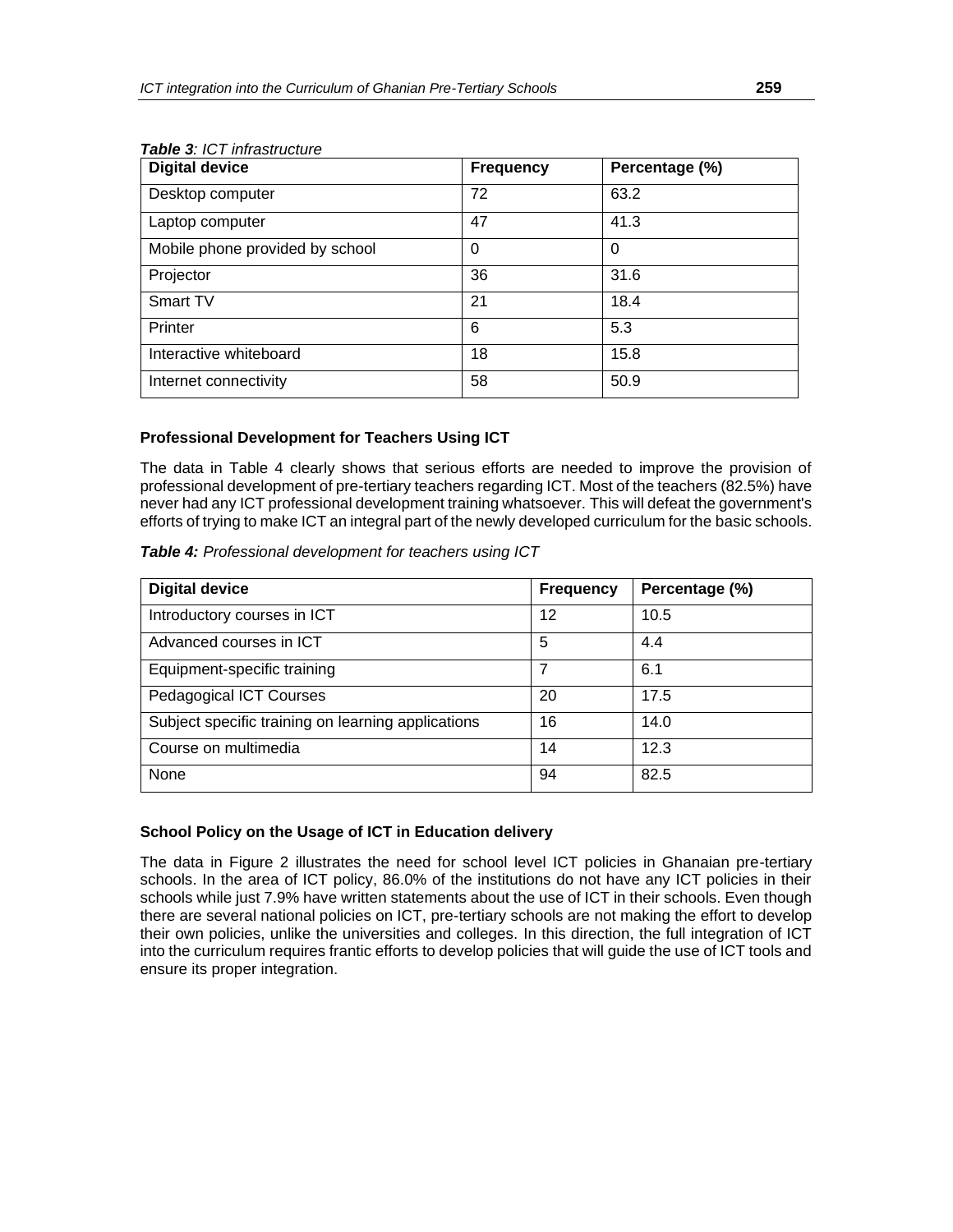| <b>Digital device</b>           | <b>Frequency</b> | Percentage (%) |
|---------------------------------|------------------|----------------|
| Desktop computer                | 72               | 63.2           |
| Laptop computer                 | 47               | 41.3           |
| Mobile phone provided by school | 0                | 0              |
| Projector                       | 36               | 31.6           |
| Smart TV                        | 21               | 18.4           |
| Printer                         | 6                | 5.3            |
| Interactive whiteboard          | 18               | 15.8           |
| Internet connectivity           | 58               | 50.9           |

# *Table 3: ICT infrastructure*

# **Professional Development for Teachers Using ICT**

The data in Table 4 clearly shows that serious efforts are needed to improve the provision of professional development of pre-tertiary teachers regarding ICT. Most of the teachers (82.5%) have never had any ICT professional development training whatsoever. This will defeat the government's efforts of trying to make ICT an integral part of the newly developed curriculum for the basic schools.

| Table 4: Professional development for teachers using ICT |  |  |
|----------------------------------------------------------|--|--|
|----------------------------------------------------------|--|--|

| <b>Digital device</b>                              | <b>Frequency</b> | Percentage (%) |
|----------------------------------------------------|------------------|----------------|
| Introductory courses in ICT                        | 12               | 10.5           |
| Advanced courses in ICT                            | 5                | 4.4            |
| Equipment-specific training                        |                  | 6.1            |
| <b>Pedagogical ICT Courses</b>                     | 20               | 17.5           |
| Subject specific training on learning applications | 16               | 14.0           |
| Course on multimedia                               | 14               | 12.3           |
| None                                               | 94               | 82.5           |

# **School Policy on the Usage of ICT in Education delivery**

The data in Figure 2 illustrates the need for school level ICT policies in Ghanaian pre-tertiary schools. In the area of ICT policy, 86.0% of the institutions do not have any ICT policies in their schools while just 7.9% have written statements about the use of ICT in their schools. Even though there are several national policies on ICT, pre-tertiary schools are not making the effort to develop their own policies, unlike the universities and colleges. In this direction, the full integration of ICT into the curriculum requires frantic efforts to develop policies that will guide the use of ICT tools and ensure its proper integration.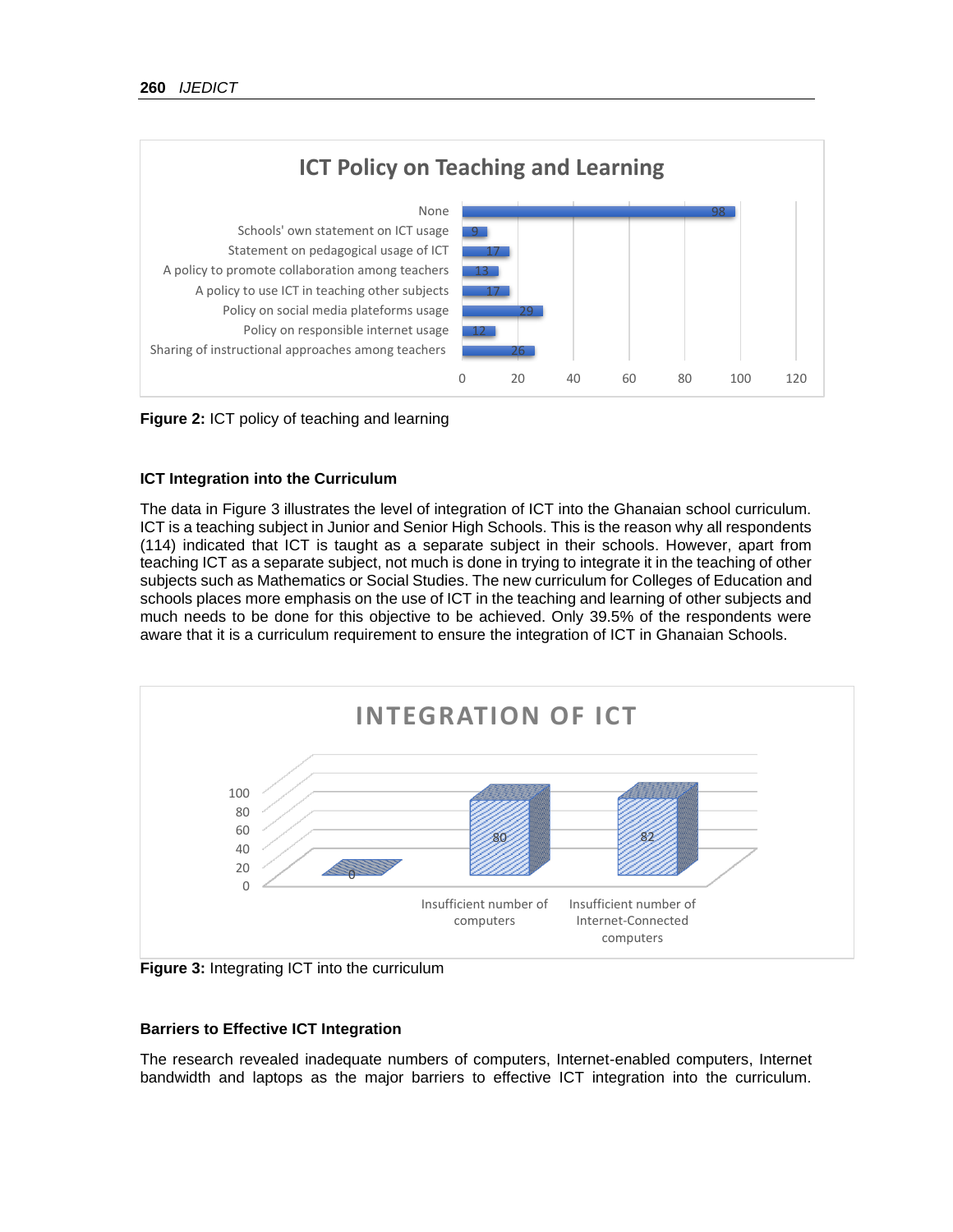

**Figure 2:** ICT policy of teaching and learning

### **ICT Integration into the Curriculum**

The data in Figure 3 illustrates the level of integration of ICT into the Ghanaian school curriculum. ICT is a teaching subject in Junior and Senior High Schools. This is the reason why all respondents (114) indicated that ICT is taught as a separate subject in their schools. However, apart from teaching ICT as a separate subject, not much is done in trying to integrate it in the teaching of other subjects such as Mathematics or Social Studies. The new curriculum for Colleges of Education and schools places more emphasis on the use of ICT in the teaching and learning of other subjects and much needs to be done for this objective to be achieved. Only 39.5% of the respondents were aware that it is a curriculum requirement to ensure the integration of ICT in Ghanaian Schools.



**Figure 3:** Integrating ICT into the curriculum

### **Barriers to Effective ICT Integration**

The research revealed inadequate numbers of computers, Internet-enabled computers, Internet bandwidth and laptops as the major barriers to effective ICT integration into the curriculum.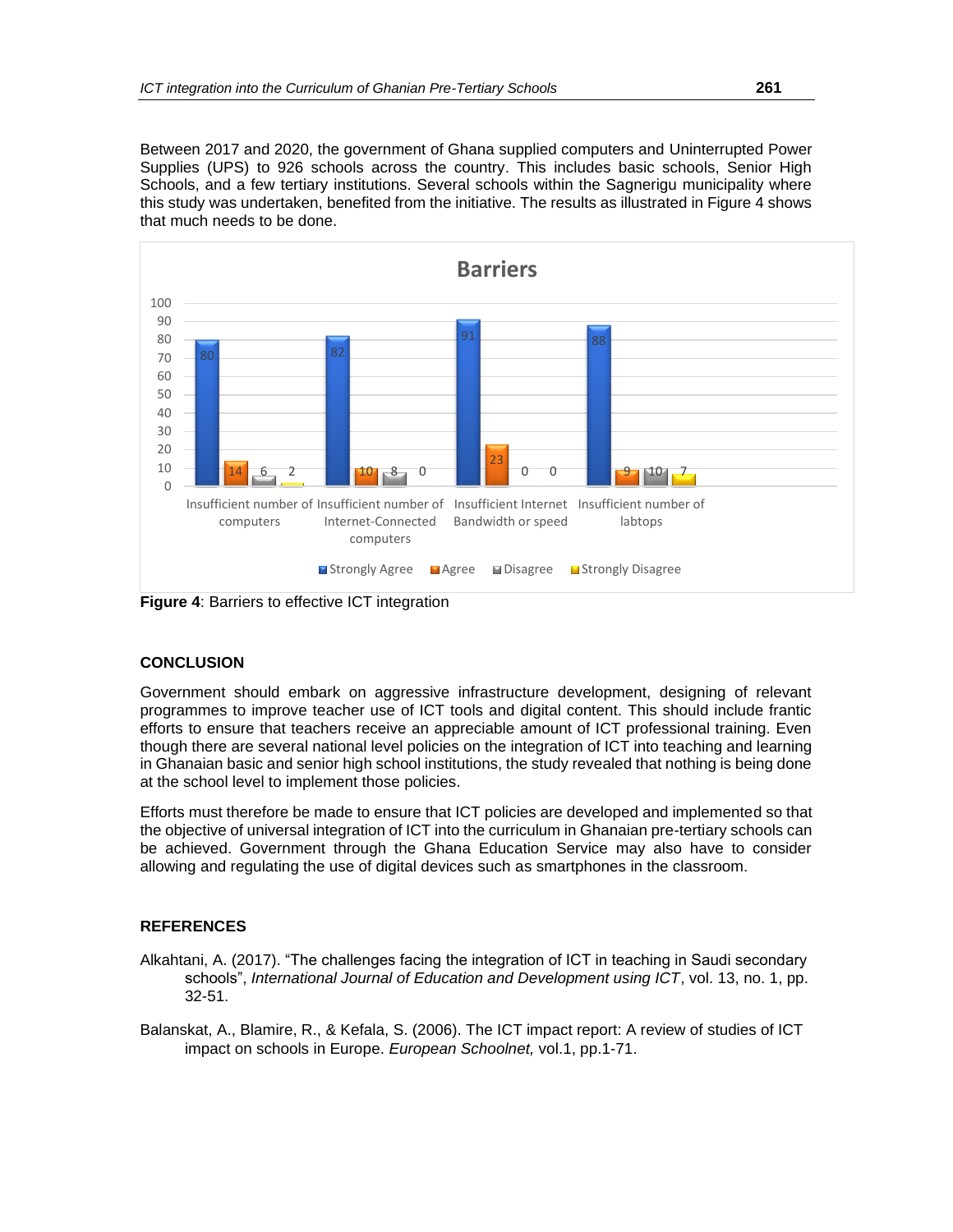Between 2017 and 2020, the government of Ghana supplied computers and Uninterrupted Power Supplies (UPS) to 926 schools across the country. This includes basic schools, Senior High Schools, and a few tertiary institutions. Several schools within the Sagnerigu municipality where this study was undertaken, benefited from the initiative. The results as illustrated in Figure 4 shows that much needs to be done.



**Figure 4**: Barriers to effective ICT integration

### **CONCLUSION**

Government should embark on aggressive infrastructure development, designing of relevant programmes to improve teacher use of ICT tools and digital content. This should include frantic efforts to ensure that teachers receive an appreciable amount of ICT professional training. Even though there are several national level policies on the integration of ICT into teaching and learning in Ghanaian basic and senior high school institutions, the study revealed that nothing is being done at the school level to implement those policies.

Efforts must therefore be made to ensure that ICT policies are developed and implemented so that the objective of universal integration of ICT into the curriculum in Ghanaian pre-tertiary schools can be achieved. Government through the Ghana Education Service may also have to consider allowing and regulating the use of digital devices such as smartphones in the classroom.

### **REFERENCES**

- Alkahtani, A. (2017). "The challenges facing the integration of ICT in teaching in Saudi secondary schools", *International Journal of Education and Development using ICT*, vol. 13, no. 1, pp. 32-51.
- Balanskat, A., Blamire, R., & Kefala, S. (2006). The ICT impact report: A review of studies of ICT impact on schools in Europe. *European Schoolnet,* vol.1, pp.1-71.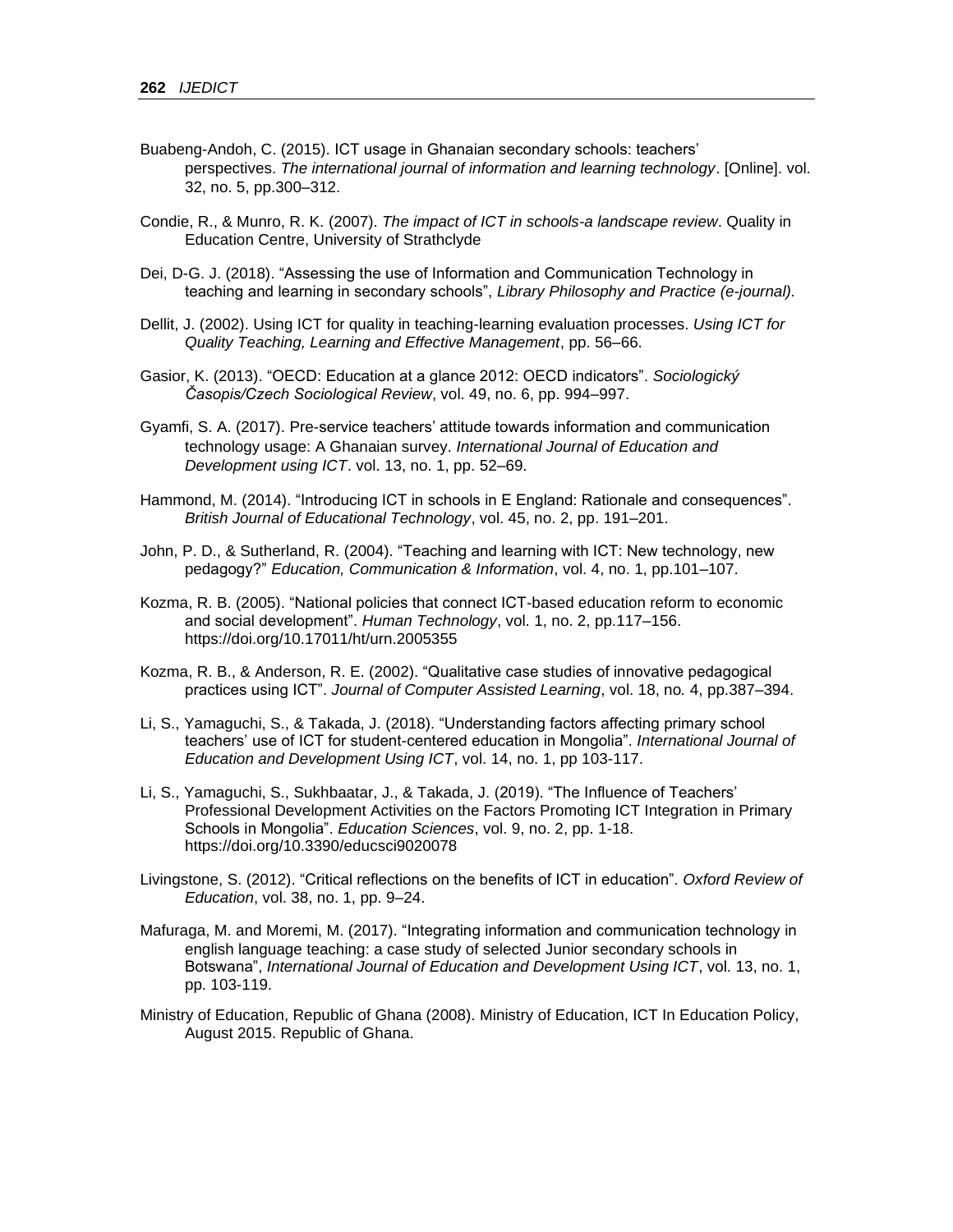- Buabeng-Andoh, C. (2015). ICT usage in Ghanaian secondary schools: teachers' perspectives. *The international journal of information and learning technology*. [Online]. vol. 32, no. 5, pp.300–312.
- Condie, R., & Munro, R. K. (2007). *The impact of ICT in schools-a landscape review*. Quality in Education Centre, University of Strathclyde
- Dei, D-G. J. (2018). "Assessing the use of Information and Communication Technology in teaching and learning in secondary schools", *Library Philosophy and Practice (e-journal).*
- Dellit, J. (2002). Using ICT for quality in teaching-learning evaluation processes. *Using ICT for Quality Teaching, Learning and Effective Management*, pp. 56–66.
- Gasior, K. (2013). "OECD: Education at a glance 2012: OECD indicators". *Sociologický Časopis/Czech Sociological Review*, vol. 49, no. 6, pp. 994–997.
- Gyamfi, S. A. (2017). Pre-service teachers' attitude towards information and communication technology usage: A Ghanaian survey. *International Journal of Education and Development using ICT*. vol. 13, no. 1, pp. 52–69.
- Hammond, M. (2014). "Introducing ICT in schools in E England: Rationale and consequences". *British Journal of Educational Technology*, vol. 45, no. 2, pp. 191–201.
- John, P. D., & Sutherland, R. (2004). "Teaching and learning with ICT: New technology, new pedagogy?" *Education, Communication & Information*, vol. 4, no. 1, pp.101–107.
- Kozma, R. B. (2005). "National policies that connect ICT-based education reform to economic and social development". *Human Technology*, vol. 1, no. 2, pp.117–156. https://doi.org/10.17011/ht/urn.2005355
- Kozma, R. B., & Anderson, R. E. (2002). "Qualitative case studies of innovative pedagogical practices using ICT". *Journal of Computer Assisted Learning*, vol. 18, no*.* 4, pp.387–394.
- Li, S., Yamaguchi, S., & Takada, J. (2018). "Understanding factors affecting primary school teachers' use of ICT for student-centered education in Mongolia". *International Journal of Education and Development Using ICT*, vol. 14, no. 1, pp 103-117.
- Li, S., Yamaguchi, S., Sukhbaatar, J., & Takada, J. (2019). "The Influence of Teachers' Professional Development Activities on the Factors Promoting ICT Integration in Primary Schools in Mongolia". *Education Sciences*, vol. 9, no. 2, pp. 1-18. https://doi.org/10.3390/educsci9020078
- Livingstone, S. (2012). "Critical reflections on the benefits of ICT in education". *Oxford Review of Education*, vol. 38, no. 1, pp. 9–24.
- Mafuraga, M. and Moremi, M. (2017). "Integrating information and communication technology in english language teaching: a case study of selected Junior secondary schools in Botswana", *International Journal of Education and Development Using ICT*, vol. 13, no. 1, pp. 103-119.
- Ministry of Education, Republic of Ghana (2008). Ministry of Education, ICT In Education Policy, August 2015. Republic of Ghana.